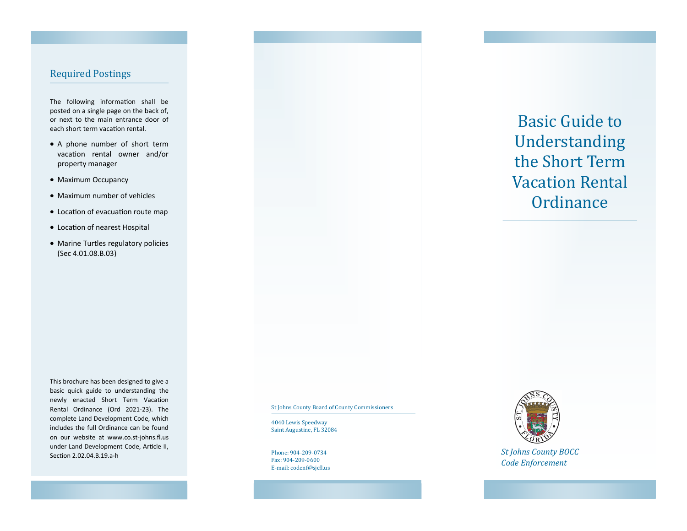## Required Postings

The following information shall be posted on a single page on the back of, or next to the main entrance door of each short term vacation rental.

- A phone number of short term vacation rental owner and/or property manager
- Maximum Occupancy
- Maximum number of vehicles
- Location of evacuation route map
- Location of nearest Hospital
- Marine Turtles regulatory policies (Sec 4.01.08.B.03)

This brochure has been designed to give a basic quick guide to understanding the newly enacted Short Term Vacation Rental Ordinance (Ord 2021-23). The complete Land Development Code, which includes the full Ordinance can be found on our website at www.co.st-johns.fl.us under Land Development Code, Article II, Section 2.02.04.B.19.a-h

St Johns County Board of County Commissioners

4040 Lewis Speedway Saint Augustine, FL 32084

Phone: 904-209-0734 Fax: 904-209-0600 E-mail: codenf@sjcfl.us



*St Johns County BOCC Code Enforcement*

Basic Guide to Understanding the Short Term Vacation Rental **Ordinance**